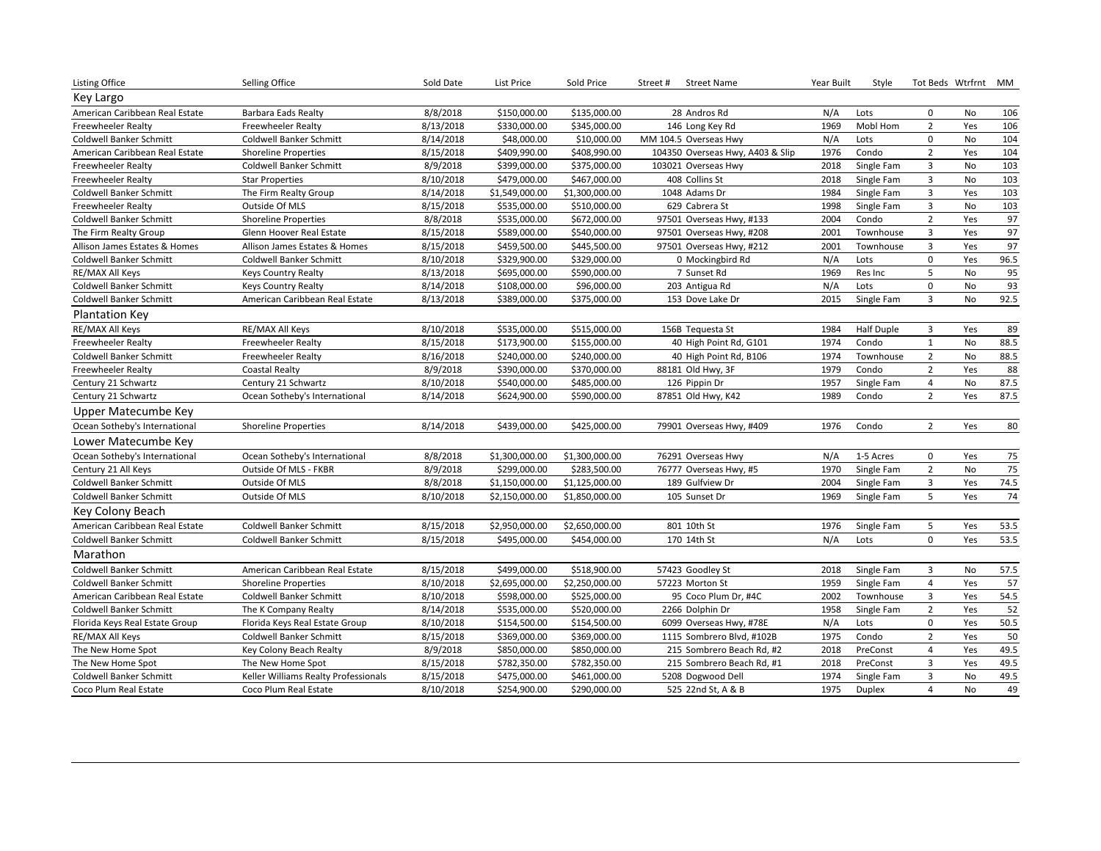| <b>Listing Office</b>          | Selling Office                       | Sold Date | List Price     | Sold Price     | <b>Street Name</b><br>Street #   | Year Built | Style             |                | Tot Beds Wtrfrnt MM |      |
|--------------------------------|--------------------------------------|-----------|----------------|----------------|----------------------------------|------------|-------------------|----------------|---------------------|------|
| Key Largo                      |                                      |           |                |                |                                  |            |                   |                |                     |      |
| American Caribbean Real Estate | Barbara Eads Realty                  | 8/8/2018  | \$150,000.00   | \$135,000.00   | 28 Andros Rd                     | N/A        | Lots              | 0              | No                  | 106  |
| <b>Freewheeler Realty</b>      | <b>Freewheeler Realty</b>            | 8/13/2018 | \$330,000.00   | \$345,000.00   | 146 Long Key Rd                  | 1969       | Mobl Hom          | $\overline{2}$ | Yes                 | 106  |
| Coldwell Banker Schmitt        | Coldwell Banker Schmitt              | 8/14/2018 | \$48,000.00    | \$10,000.00    | MM 104.5 Overseas Hwy            | N/A        | Lots              | 0              | No                  | 104  |
| American Caribbean Real Estate | <b>Shoreline Properties</b>          | 8/15/2018 | \$409,990.00   | \$408,990.00   | 104350 Overseas Hwy, A403 & Slip | 1976       | Condo             | $\overline{2}$ | Yes                 | 104  |
| <b>Freewheeler Realty</b>      | Coldwell Banker Schmitt              | 8/9/2018  | \$399,000.00   | \$375,000.00   | 103021 Overseas Hwy              | 2018       | Single Fam        | 3              | No                  | 103  |
| <b>Freewheeler Realty</b>      | <b>Star Properties</b>               | 8/10/2018 | \$479,000.00   | \$467,000.00   | 408 Collins St                   | 2018       | Single Fam        | 3              | No                  | 103  |
| Coldwell Banker Schmitt        | The Firm Realty Group                | 8/14/2018 | \$1,549,000.00 | \$1,300,000.00 | 1048 Adams Dr                    | 1984       | Single Fam        | 3              | Yes                 | 103  |
| <b>Freewheeler Realty</b>      | Outside Of MLS                       | 8/15/2018 | \$535,000.00   | \$510,000.00   | 629 Cabrera St                   | 1998       | Single Fam        | $\overline{3}$ | No                  | 103  |
| <b>Coldwell Banker Schmitt</b> | <b>Shoreline Properties</b>          | 8/8/2018  | \$535,000.00   | \$672,000.00   | 97501 Overseas Hwy, #133         | 2004       | Condo             | $\overline{2}$ | Yes                 | 97   |
| The Firm Realty Group          | Glenn Hoover Real Estate             | 8/15/2018 | \$589,000.00   | \$540,000.00   | 97501 Overseas Hwy, #208         | 2001       | Townhouse         | 3              | Yes                 | 97   |
| Allison James Estates & Homes  | Allison James Estates & Homes        | 8/15/2018 | \$459,500.00   | \$445,500.00   | 97501 Overseas Hwy, #212         | 2001       | Townhouse         | 3              | Yes                 | 97   |
| Coldwell Banker Schmitt        | Coldwell Banker Schmitt              | 8/10/2018 | \$329,900.00   | \$329,000.00   | 0 Mockingbird Rd                 | N/A        | Lots              | 0              | Yes                 | 96.5 |
| RE/MAX All Keys                | <b>Keys Country Realty</b>           | 8/13/2018 | \$695,000.00   | \$590,000.00   | 7 Sunset Rd                      | 1969       | Res Inc           | 5              | No                  | 95   |
| <b>Coldwell Banker Schmitt</b> | <b>Keys Country Realty</b>           | 8/14/2018 | \$108,000.00   | \$96,000.00    | 203 Antigua Rd                   | N/A        | Lots              | $\mathbf 0$    | <b>No</b>           | 93   |
| Coldwell Banker Schmitt        | American Caribbean Real Estate       | 8/13/2018 | \$389,000.00   | \$375,000.00   | 153 Dove Lake Dr                 | 2015       | Single Fam        | 3              | No                  | 92.5 |
| <b>Plantation Key</b>          |                                      |           |                |                |                                  |            |                   |                |                     |      |
| RE/MAX All Keys                | RE/MAX All Keys                      | 8/10/2018 | \$535,000.00   | \$515,000.00   | 156B Tequesta St                 | 1984       | <b>Half Duple</b> | 3              | Yes                 | 89   |
| <b>Freewheeler Realty</b>      | <b>Freewheeler Realty</b>            | 8/15/2018 | \$173,900.00   | \$155,000.00   | 40 High Point Rd, G101           | 1974       | Condo             | $\mathbf{1}$   | No                  | 88.5 |
| <b>Coldwell Banker Schmitt</b> | <b>Freewheeler Realty</b>            | 8/16/2018 | \$240,000.00   | \$240,000.00   | 40 High Point Rd, B106           | 1974       | Townhouse         | $\overline{2}$ | <b>No</b>           | 88.5 |
| <b>Freewheeler Realty</b>      | Coastal Realty                       | 8/9/2018  | \$390,000.00   | \$370,000.00   | 88181 Old Hwy, 3F                | 1979       | Condo             | $\overline{2}$ | Yes                 | 88   |
| Century 21 Schwartz            | Century 21 Schwartz                  | 8/10/2018 | \$540,000.00   | \$485,000.00   | 126 Pippin Dr                    | 1957       | Single Fam        | $\overline{4}$ | No                  | 87.5 |
| Century 21 Schwartz            | Ocean Sotheby's International        | 8/14/2018 | \$624,900.00   | \$590,000.00   | 87851 Old Hwy, K42               | 1989       | Condo             | $\overline{2}$ | Yes                 | 87.5 |
| <b>Upper Matecumbe Key</b>     |                                      |           |                |                |                                  |            |                   |                |                     |      |
| Ocean Sotheby's International  | <b>Shoreline Properties</b>          | 8/14/2018 | \$439,000.00   | \$425,000.00   | 79901 Overseas Hwy, #409         | 1976       | Condo             | $\overline{2}$ | Yes                 | 80   |
| Lower Matecumbe Key            |                                      |           |                |                |                                  |            |                   |                |                     |      |
| Ocean Sotheby's International  | Ocean Sotheby's International        | 8/8/2018  | \$1,300,000.00 | \$1,300,000.00 | 76291 Overseas Hwy               | N/A        | 1-5 Acres         | 0              | Yes                 | 75   |
| Century 21 All Keys            | Outside Of MLS - FKBR                | 8/9/2018  | \$299,000.00   | \$283,500.00   | 76777 Overseas Hwy, #5           | 1970       | Single Fam        | $\overline{2}$ | No                  | 75   |
| Coldwell Banker Schmitt        | Outside Of MLS                       | 8/8/2018  | \$1,150,000.00 | \$1,125,000.00 | 189 Gulfview Dr                  | 2004       | Single Fam        | 3              | Yes                 | 74.5 |
| Coldwell Banker Schmitt        | Outside Of MLS                       | 8/10/2018 | \$2,150,000.00 | \$1,850,000.00 | 105 Sunset Dr                    | 1969       | Single Fam        | 5              | Yes                 | 74   |
| Key Colony Beach               |                                      |           |                |                |                                  |            |                   |                |                     |      |
| American Caribbean Real Estate | <b>Coldwell Banker Schmitt</b>       | 8/15/2018 | \$2,950,000.00 | \$2,650,000.00 | 801 10th St                      | 1976       | Single Fam        | 5              | Yes                 | 53.5 |
| Coldwell Banker Schmitt        | Coldwell Banker Schmitt              | 8/15/2018 | \$495,000.00   | \$454,000.00   | 170 14th St                      | N/A        | Lots              | $\mathbf 0$    | Yes                 | 53.5 |
| Marathon                       |                                      |           |                |                |                                  |            |                   |                |                     |      |
| Coldwell Banker Schmitt        | American Caribbean Real Estate       | 8/15/2018 | \$499,000.00   | \$518,900.00   | 57423 Goodley St                 | 2018       | Single Fam        | $\overline{3}$ | No                  | 57.5 |
| <b>Coldwell Banker Schmitt</b> | <b>Shoreline Properties</b>          | 8/10/2018 | \$2,695,000.00 | \$2,250,000.00 | 57223 Morton St                  | 1959       | Single Fam        | 4              | Yes                 | 57   |
| American Caribbean Real Estate | Coldwell Banker Schmitt              | 8/10/2018 | \$598,000.00   | \$525,000.00   | 95 Coco Plum Dr, #4C             | 2002       | Townhouse         | 3              | Yes                 | 54.5 |
| Coldwell Banker Schmitt        | The K Company Realty                 | 8/14/2018 | \$535,000.00   | \$520,000.00   | 2266 Dolphin Dr                  | 1958       | Single Fam        | $\overline{2}$ | Yes                 | 52   |
| Florida Keys Real Estate Group | Florida Keys Real Estate Group       | 8/10/2018 | \$154,500.00   | \$154,500.00   | 6099 Overseas Hwy, #78E          | N/A        | Lots              | $\mathbf 0$    | Yes                 | 50.5 |
| RE/MAX All Keys                | <b>Coldwell Banker Schmitt</b>       | 8/15/2018 | \$369,000.00   | \$369,000.00   | 1115 Sombrero Blvd, #102B        | 1975       | Condo             | $\overline{2}$ | Yes                 | 50   |
| The New Home Spot              | Key Colony Beach Realty              | 8/9/2018  | \$850,000.00   | \$850,000.00   | 215 Sombrero Beach Rd, #2        | 2018       | PreConst          | 4              | Yes                 | 49.5 |
| The New Home Spot              | The New Home Spot                    | 8/15/2018 | \$782,350.00   | \$782,350.00   | 215 Sombrero Beach Rd, #1        | 2018       | PreConst          | 3              | Yes                 | 49.5 |
| Coldwell Banker Schmitt        | Keller Williams Realty Professionals | 8/15/2018 | \$475,000.00   | \$461,000.00   | 5208 Dogwood Dell                | 1974       | Single Fam        | 3              | No                  | 49.5 |
| Coco Plum Real Estate          | Coco Plum Real Estate                | 8/10/2018 | \$254,900.00   | \$290,000.00   | 525 22nd St, A & B               | 1975       | <b>Duplex</b>     | 4              | No                  | 49   |